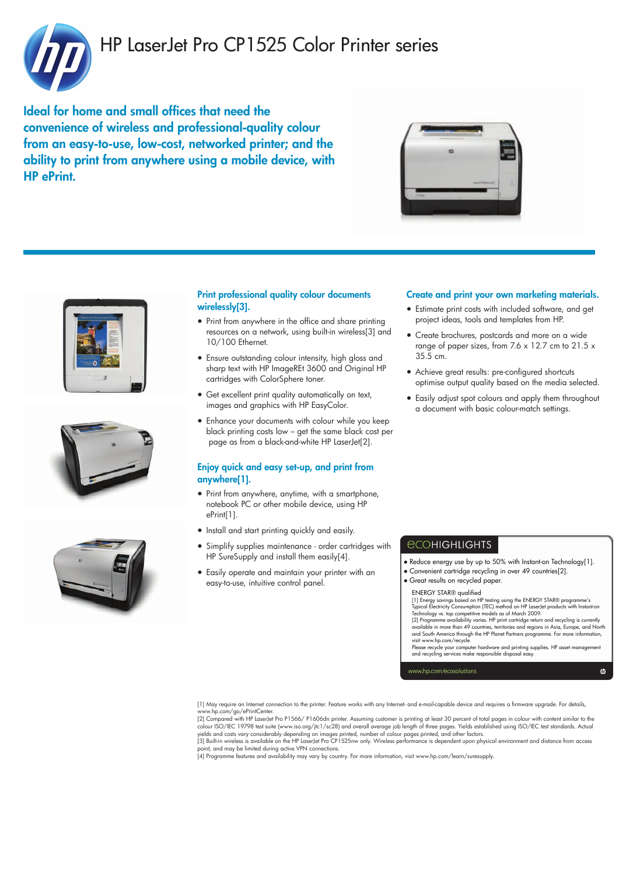

# HP LaserJet Pro CP1525 Color Printer series

Ideal for home and small offices that need the convenience of wireless and professional-quality colour from an easy-to-use, low-cost, networked printer; and the ability to print from anywhere using a mobile device, with HP ePrint.









### Print professional quality colour documents wirelessly[3].

- Print from anywhere in the office and share printing resources on a network, using built-in wireless[3] and 10/100 Ethernet.
- Ensure outstanding colour intensity, high gloss and sharp text with HP ImageREt 3600 and Original HP cartridges with ColorSphere toner.
- Get excellent print quality automatically on text, images and graphics with HP EasyColor.
- Enhance your documents with colour while you keep black printing costs low – get the same black cost per page as from a black-and-white HP LaserJet[2].

### Enjoy quick and easy set-up, and print from anywhere[1].

- Print from anywhere, anytime, with a smartphone, notebook PC or other mobile device, using HP ePrint[1].
- Install and start printing quickly and easily.
- Simplify supplies maintenance order cartridges with HP SureSupply and install them easily[4].
- Easily operate and maintain your printer with an easy-to-use, intuitive control panel.

### Create and print your own marketing materials.

- Estimate print costs with included software, and get project ideas, tools and templates from HP.
- Create brochures, postcards and more on a wide range of paper sizes, from 7.6 x 12.7 cm to 21.5 x 35.5 cm.
- Achieve great results: pre-configured shortcuts optimise output quality based on the media selected.
- Easily adjust spot colours and apply them throughout a document with basic colour-match settings.

## *<u>ECOHIGHLIGHTS</u>*

- Reduce energy use by up to 50% with Instant-on Technology[1].
- Convenient cartridge recycling in over 49 countries[2].
- Great results on recycled paper.

### ENERGY STAR® qualified

[1] Energy savings based on HP testing using the ENERGY STAR® programme's Typical Electricity Consumption (TEC) method on HP LaserJet products with Instant-on

Technology vs. top competitive models as of March 2009.<br>[2] Programme availability varies. HP print cartridge return and recycling is currently<br>available in more than 49 countries, territories and regions in Asia, Europe, and South America through the HP Planet Partners programme. For more information,

visit www.hp.com/recycle. Please recycle your computer hardware and printing supplies. HP asset management and recycling services make responsible disposal easy.

 $\boldsymbol{\omega}$ 

www.hp.com/ecosolutions

[1] May require an Internet connection to the printer. Feature works with any Internet- and e-mail-capable device and requires a firmware upgrade. For details, www.hp.com/go/ePrintCenter.

[2] Compared with HP LaserJet Pro P1566/ P1606dn printer. Assuming customer is printing at least 30 percent of total pages in colour with content similar to the<br>colour ISO/IEC 19798 test suite (www.iso.org/jtc1/sc28) and o yields and costs vary considerably depending on images printed, number of colour pages printed, and other factors.<br>[3] Built-in wireless is available on the HP LaserJet Pro CP1525nw only. Wireless performance is dependent

point, and may be limited during active VPN connections. [4] Programme features and availability may vary by country. For more information, visit www.hp.com/learn/suresupply.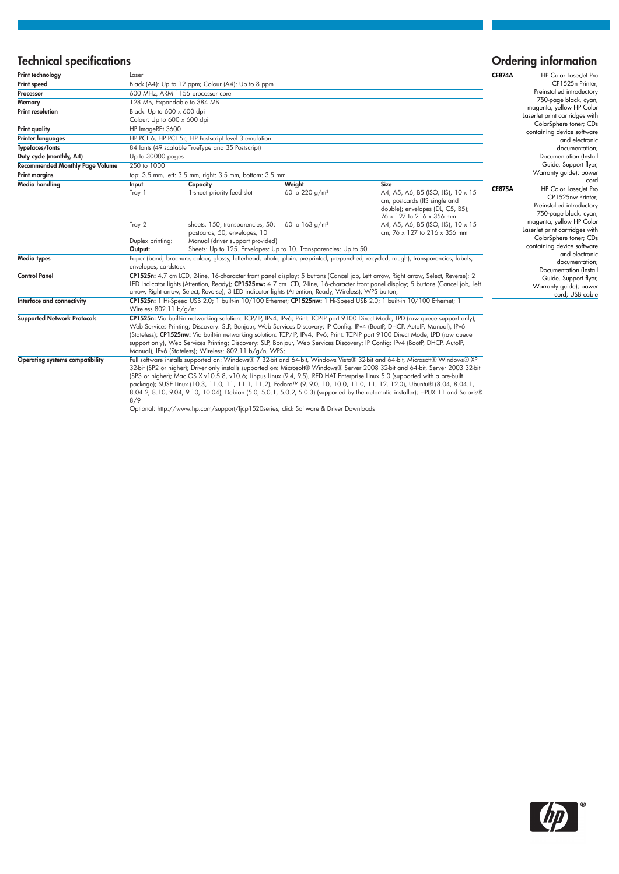# Technical specifications and the control of the control of the control of the control of the control of the control of the control of the control of the control of the control of the control of the control of the control o

| Print technology                       | Laser                                                                                                                                                                                                                                                                                                                                                                                |                                                                                                                                                                          |                                      |                                                                                                                                                                                                                                                                                                                                                                                                                                                                                                                                                                                                                                                                 | <b>CE874A</b> | HP Color LaserJet Prc                                                                                              |
|----------------------------------------|--------------------------------------------------------------------------------------------------------------------------------------------------------------------------------------------------------------------------------------------------------------------------------------------------------------------------------------------------------------------------------------|--------------------------------------------------------------------------------------------------------------------------------------------------------------------------|--------------------------------------|-----------------------------------------------------------------------------------------------------------------------------------------------------------------------------------------------------------------------------------------------------------------------------------------------------------------------------------------------------------------------------------------------------------------------------------------------------------------------------------------------------------------------------------------------------------------------------------------------------------------------------------------------------------------|---------------|--------------------------------------------------------------------------------------------------------------------|
| Print speed                            |                                                                                                                                                                                                                                                                                                                                                                                      | Black (A4): Up to 12 ppm; Colour (A4): Up to 8 ppm                                                                                                                       |                                      |                                                                                                                                                                                                                                                                                                                                                                                                                                                                                                                                                                                                                                                                 |               | CP1525n Printer                                                                                                    |
| Processor                              | 600 MHz, ARM 1156 processor core                                                                                                                                                                                                                                                                                                                                                     |                                                                                                                                                                          |                                      |                                                                                                                                                                                                                                                                                                                                                                                                                                                                                                                                                                                                                                                                 |               | Preinstalled introductory<br>750-page black, cyan                                                                  |
| Memory                                 |                                                                                                                                                                                                                                                                                                                                                                                      | 128 MB, Expandable to 384 MB                                                                                                                                             |                                      |                                                                                                                                                                                                                                                                                                                                                                                                                                                                                                                                                                                                                                                                 |               |                                                                                                                    |
| <b>Print resolution</b>                | Black: Up to 600 x 600 dpi                                                                                                                                                                                                                                                                                                                                                           |                                                                                                                                                                          |                                      |                                                                                                                                                                                                                                                                                                                                                                                                                                                                                                                                                                                                                                                                 |               | magenta, yellow HP Color<br>LaserJet print cartridges with                                                         |
|                                        | Colour: Up to 600 x 600 dpi                                                                                                                                                                                                                                                                                                                                                          |                                                                                                                                                                          |                                      |                                                                                                                                                                                                                                                                                                                                                                                                                                                                                                                                                                                                                                                                 |               | ColorSphere toner; CDs<br>containing device software<br>and electronic                                             |
| <b>Print quality</b>                   | HP ImageREt 3600                                                                                                                                                                                                                                                                                                                                                                     |                                                                                                                                                                          |                                      |                                                                                                                                                                                                                                                                                                                                                                                                                                                                                                                                                                                                                                                                 |               |                                                                                                                    |
| Printer languages                      | HP PCL 6, HP PCL 5c, HP Postscript level 3 emulation                                                                                                                                                                                                                                                                                                                                 |                                                                                                                                                                          |                                      |                                                                                                                                                                                                                                                                                                                                                                                                                                                                                                                                                                                                                                                                 |               |                                                                                                                    |
| Typefaces/fonts                        | 84 fonts (49 scalable TrueType and 35 Postscript)                                                                                                                                                                                                                                                                                                                                    |                                                                                                                                                                          |                                      |                                                                                                                                                                                                                                                                                                                                                                                                                                                                                                                                                                                                                                                                 |               | documentation;                                                                                                     |
| Duty cycle (monthly, A4)               | Up to 30000 pages                                                                                                                                                                                                                                                                                                                                                                    |                                                                                                                                                                          |                                      |                                                                                                                                                                                                                                                                                                                                                                                                                                                                                                                                                                                                                                                                 |               | Documentation (Instal                                                                                              |
| <b>Recommended Monthly Page Volume</b> | 250 to 1000                                                                                                                                                                                                                                                                                                                                                                          |                                                                                                                                                                          |                                      |                                                                                                                                                                                                                                                                                                                                                                                                                                                                                                                                                                                                                                                                 |               | Guide, Support flyer                                                                                               |
| <b>Print margins</b>                   | top: 3.5 mm, left: 3.5 mm, right: 3.5 mm, bottom: 3.5 mm                                                                                                                                                                                                                                                                                                                             |                                                                                                                                                                          |                                      |                                                                                                                                                                                                                                                                                                                                                                                                                                                                                                                                                                                                                                                                 |               | Warranty guide); power                                                                                             |
| Media handling                         | Input<br>Tray 1                                                                                                                                                                                                                                                                                                                                                                      | Capacity<br>1-sheet priority feed slot                                                                                                                                   | Weight<br>60 to 220 g/m <sup>2</sup> | Size<br>A4, A5, A6, B5 (ISO, JIS), 10 x 15<br>cm, postcards (JIS single and<br>double); envelopes (DL, C5, B5);<br>76 x 127 to 216 x 356 mm                                                                                                                                                                                                                                                                                                                                                                                                                                                                                                                     | <b>CE875A</b> | cord<br>HP Color LaserJet Pro<br>CP1525nw Printer<br>Preinstalled introductory<br>750-page black, cyan             |
|                                        | Tray 2<br>Duplex printing:<br>Output:                                                                                                                                                                                                                                                                                                                                                | sheets, 150; transparencies, 50;<br>postcards, 50; envelopes, 10<br>Manual (driver support provided)<br>Sheets: Up to 125. Envelopes: Up to 10. Transparencies: Up to 50 | 60 to 163 $q/m^2$                    | A4, A5, A6, B5 (ISO, JIS), 10 x 15<br>cm; 76 x 127 to 216 x 356 mm                                                                                                                                                                                                                                                                                                                                                                                                                                                                                                                                                                                              |               | magenta, yellow HP Color<br>LaserJet print cartridges with<br>ColorSphere toner; CDs<br>containing device software |
| Media types                            | Paper (bond, brochure, colour, glossy, letterhead, photo, plain, preprinted, prepunched, recycled, rough), transparencies, labels,<br>envelopes, cardstock                                                                                                                                                                                                                           |                                                                                                                                                                          |                                      |                                                                                                                                                                                                                                                                                                                                                                                                                                                                                                                                                                                                                                                                 |               | and electronic<br>documentation;<br>Documentation (Instal                                                          |
| <b>Control Panel</b>                   | CP1525n: 4.7 cm LCD, 2-line, 16-character front panel display; 5 buttons (Cancel job, Left arrow, Right arrow, Select, Reverse); 2<br>LED indicator lights (Attention, Ready); CP1525nw: 4.7 cm LCD, 2-line, 16-character front panel display; 5 buttons (Cancel job, Left<br>arrow, Right arrow, Select, Reverse); 3 LED indicator lights (Attention, Ready, Wireless); WPS button; |                                                                                                                                                                          |                                      |                                                                                                                                                                                                                                                                                                                                                                                                                                                                                                                                                                                                                                                                 |               | Guide, Support flyer<br>Warranty guide); power<br>cord; USB cable                                                  |
| Interface and connectivity             | CP1525n: 1 Hi-Speed USB 2.0; 1 built-in 10/100 Ethernet; CP1525nw: 1 Hi-Speed USB 2.0; 1 built-in 10/100 Ethernet; 1<br>Wireless 802.11 b/g/n;                                                                                                                                                                                                                                       |                                                                                                                                                                          |                                      |                                                                                                                                                                                                                                                                                                                                                                                                                                                                                                                                                                                                                                                                 |               |                                                                                                                    |
| <b>Supported Network Protocols</b>     |                                                                                                                                                                                                                                                                                                                                                                                      | Manual), IPv6 (Stateless); Wireless: 802.11 b/g/n, WPS;                                                                                                                  |                                      | CP1525n: Via built-in networking solution: TCP/IP, IPv4, IPv6; Print: TCP-IP port 9100 Direct Mode, LPD (raw queue support only),<br>Web Services Printing; Discovery: SLP, Bonjour, Web Services Discovery; IP Config: IPv4 (BootP, DHCP, AutolP, Manual), IPv6<br>(Stateless); CP1525nw: Via built-in networking solution: TCP/IP, IPv4, IPv6; Print: TCP-IP port 9100 Direct Mode, LPD (raw queue<br>support only), Web Services Printing; Discovery: SLP, Bonjour, Web Services Discovery; IP Config: IPv4 (BootP, DHCP, AutoIP,                                                                                                                            |               |                                                                                                                    |
| <b>Operating systems compatibility</b> | R/Q                                                                                                                                                                                                                                                                                                                                                                                  |                                                                                                                                                                          |                                      | Full software installs supported on: Windows® 7 32-bit and 64-bit, Windows Vista® 32-bit and 64-bit, Microsoft® Windows® XP<br>32-bit (SP2 or higher); Driver only installs supported on: Microsoft® Windows® Server 2008 32-bit and 64-bit, Server 2003 32-bit<br>(SP3 or higher); Mac OS X v10.5.8, v10.6; Linpus Linux (9.4, 9.5), RED HAT Enterprise Linux 5.0 (supported with a pre-built<br>package); SUSE Linux (10.3, 11.0, 11, 11.1, 11.2), Fedora™ (9, 9.0, 10, 10.0, 11.0, 11, 12, 12.0), Ubuntu® (8.04, 8.04.1,<br>8.04.2, 8.10, 9.04, 9.10, 10.04), Debian (5.0, 5.0.1, 5.0.2, 5.0.3) (supported by the automatic installer); HPUX 11 and Solaris® |               |                                                                                                                    |

8/9 Optional: http://www.hp.com/support/ljcp1520series, click Software & Driver Downloads